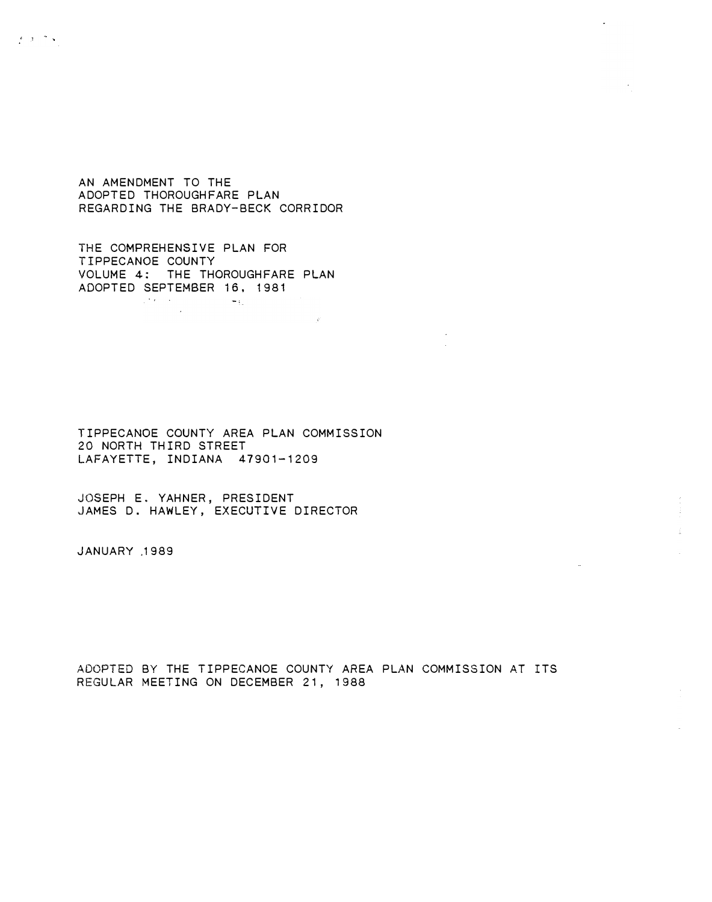AN AMENDMENT TO THE ADOPTED THOROUGHFARE PLAN REGARDING THE BRADY-BECK CORRIDOR

THE COMPREHENSIVE PLAN FOR TIPPECANOE COUNTY VOLUME 4: THE THOROUGHFARE PLAN ADOPTED SEPTEMBER 16, 1981  $\label{eq:2} \mathcal{L}^{\mathcal{A}}(\mathcal{A})=\mathcal{L}^{\mathcal{A}}(\mathcal{A})=\mathcal{L}^{\mathcal{A}}(\mathcal{A})=\mathcal{L}^{\mathcal{A}}(\mathcal{A})=\mathcal{L}^{\mathcal{A}}(\mathcal{A}).$ 

TIPPECANOE COUNTY AREA PLAN COMMISSION 20 NORTH THIRD STREET LAFAYETTE, INDIANA 47901-1209

JOSEPH E. YAHNER, PRESIDENT JAMES D. HAWLEY, EXECUTIVE DIRECTOR

JANUARY .1 989

e ji ha

ADOPTED BY THE TIPPECANOE COUNTY AREA PLAN COMMISSION AT ITS REGULAR MEETING ON DECEMBER 21, 1988

 $\bullet$ 

 $\hat{\underline{\mathbf{1}}}$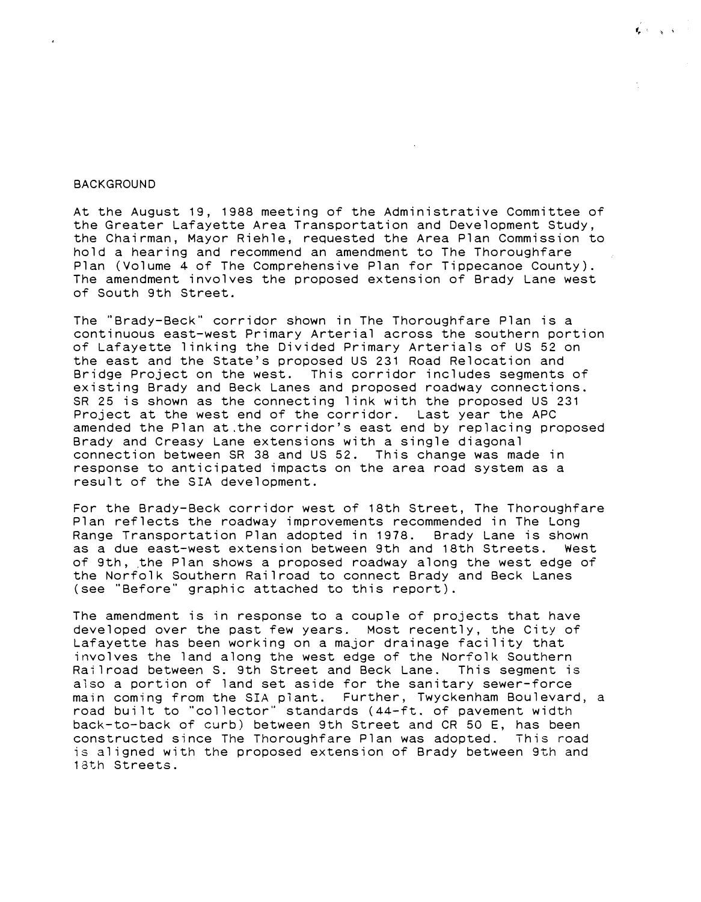## **BACK GROUND**

At the August 19, 1988 meeting of the Administrative Committee of the Greater Lafayette Area Transportation and Development Study, the Chairman, Mayor Riehle, requested the Area Plan Commission to hold a hearing and recommend an amendment to The Thoroughfare Plan (Volume 4 of The Comprehensive Plan for Tippecanoe County). The amendment involves the proposed extension of Brady Lane west of South 9th Street.

 $\mathbf{f}_\mathbf{p} \propto \mathbf{f}_\mathbf{q} \propto \mathbf{f}_\mathbf{p}$ 

The ''Brady-Beck" corridor shown in The Thoroughfare Plan is a continuous east-west Primary Arterial across the southern portion of Lafayette linking the Divided Primary Arterials of US 52 on the east and the State's proposed US 231 Road Relocation and Bridge Project on the west. This corridor includes segments of existing Brady and Beck Lanes and proposed roadway connections. SR 25 is shown as the connecting link with the proposed US 231 Project at the west end of the corridor. Last year the APC amended the Plan at the corridor's east end by replacing proposed Brady and Creasy Lane extensions with a single diagonal connection between SR 38 and US 52. This change was made in response to anticipated impacts on the area road system as a result of the SIA development.

For the Brady-Beck corridor west of 18th Street, The Thoroughfare Plan reflects the roadway improvements recommended in The Long Range Transportation Plan adopted in 1978. Brady Lane is shown as a due east-west extension between 9th and 18th Streets. West of 9th, the Plan shows a proposed roadway along the west edge of the Norfolk Southern Railroad to connect Brady and Beck Lanes (see "Before" graphic attached to this report).

The amendment is in response to a couple of projects that have developed over the past few years. Most recently, the City of Lafayette has been working on a major drainage facility that involves the land along the west edge of the Norfolk Southern Railroad between S. 9th Street and Beck Lane. This segment is also a portion of land set aside for the sanitary sewer-force main coming from the SIA plant. Further, Twyckenham Boulevard, a road built to "collector" standards (44-ft. of pavement width back-to-back of curb) between 9th Street and CR 50 E, has been constructed since The Thoroughfare Plan was adopted. This road is aligned with the proposed extension of Brady between 9th and 1 3th Streets.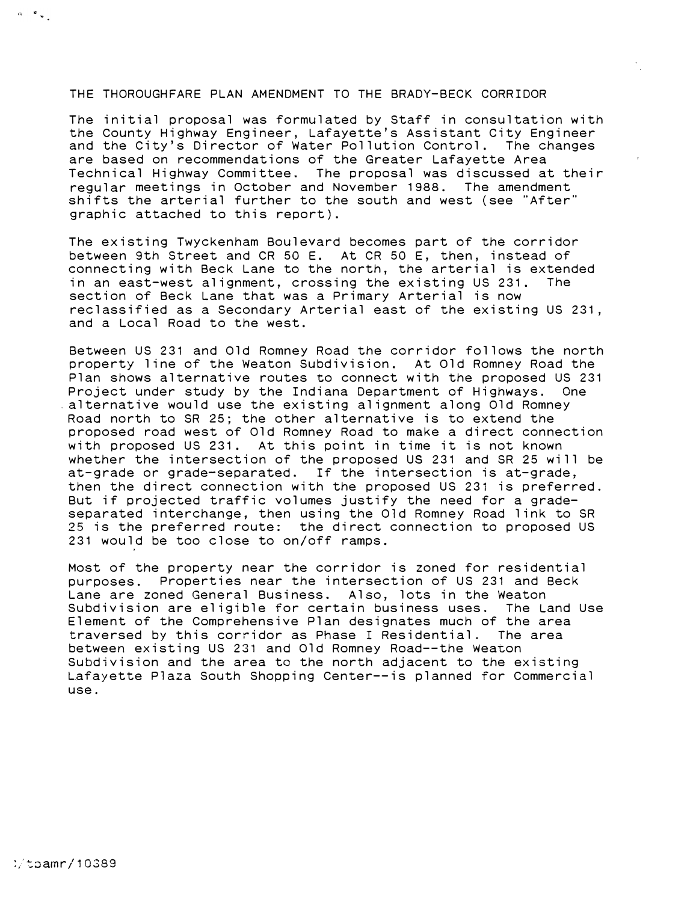## THE THOROUGHFARE PLAN AMENDMENT TO THE BRADY-BECK CORRIDOR

The initial proposal was formulated by Staff in consultation with the County Highway Engineer, Lafayette's Assistant City Engineer and the City's Director of Water Pollution Control. The changes are based on recommendations of the Greater Lafayette Area Technical Highway Committee. The proposal was discussed at their regular meetings in October and November 1988. The amendment shifts the arterial further to the south and west (see "After" graphic attached to this report).

The existing Twyckenham Boulevard becomes part of the corridor between 9th Street and CR 50 E. At CR 50 E, then, instead of connecting with Beck Lane to the north, the arterial is extended in an east-west alignment, crossing the existing US 231. The section of Beck Lane that was a Primary Arterial is now reclassified as a Secondary Arterial east of the existing US 231 , and a Local Road to the west.

Between US 231 and Old Romney Road the corridor follows the north property line of the Weaton Subdivision. At Old Romney Road the Plan shows alternative routes to connect with the proposed US 231 Project under study by the Indiana Department of Highways. One \_alternative would use the existing alignment along Old Romney Road north to SR 25; the other alternative is to extend the proposed road west of Old Romney Road to make a direct connection with proposed US 231. At this point in time it is not known whether the intersection of the proposed US 231 and SR 25 will be at-grade or grade-separated. If the intersection is at-grade, then the direct connection with the proposed US 231 is preferred. But if projected traffic volumes justify the need for a gradeseparated interchange, then using the Old Romney Road link to SR 25 is the preferred route: the direct connection to proposed US 231 would be too close to on/off ramps.

Most of the property near the corridor is zoned for residential purposes. Properties near the intersection of US 231 and Beck Lane are zoned General Business. Also, lots in the Weaton Subdivision are eligible for certain business uses. The Land Use Element of the Comprehensive Plan designates much of the area traversed by this corridor as Phase I Residential. The area between existing US 231 and Old Romney Road--the Weaton Subdivision and the area to the north adjacent to the existing Lafayette Plaza South Shopping Center--is planned for Commercial use.

 $\alpha = \frac{\mathfrak{p}}{\mathfrak{p}} \frac{1}{\mathfrak{p}}$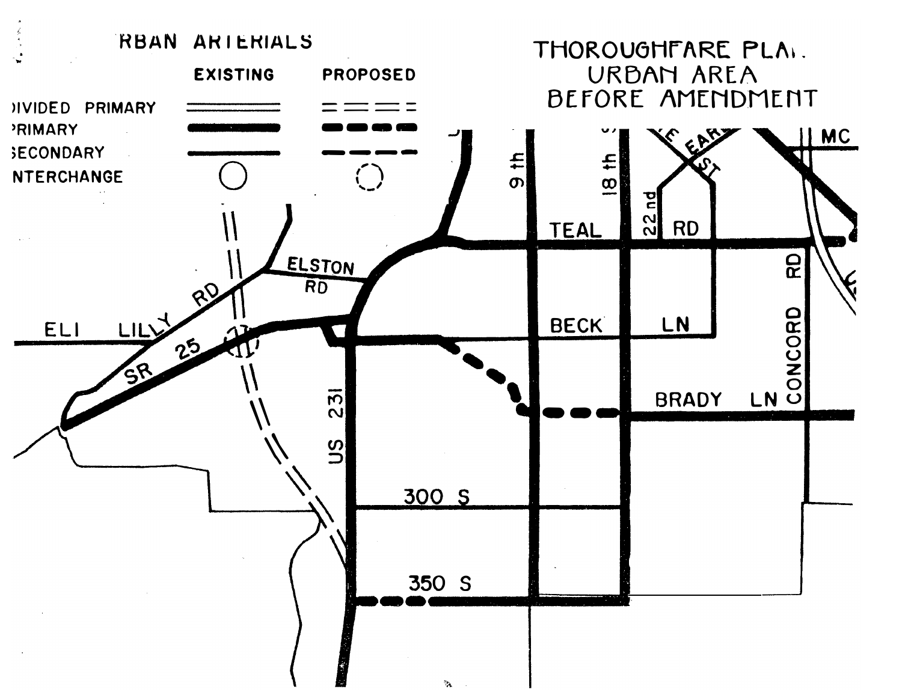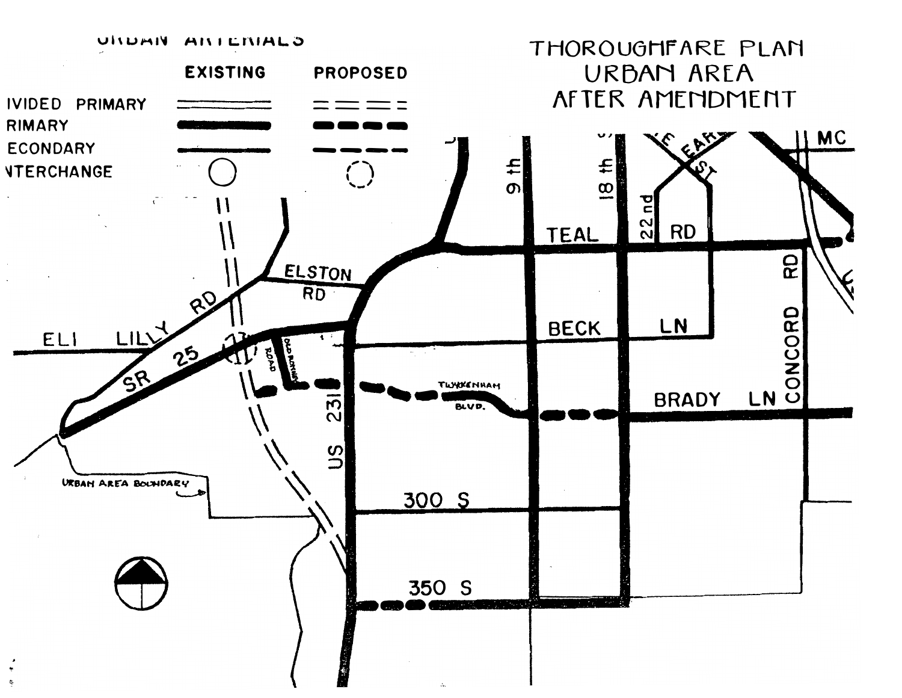